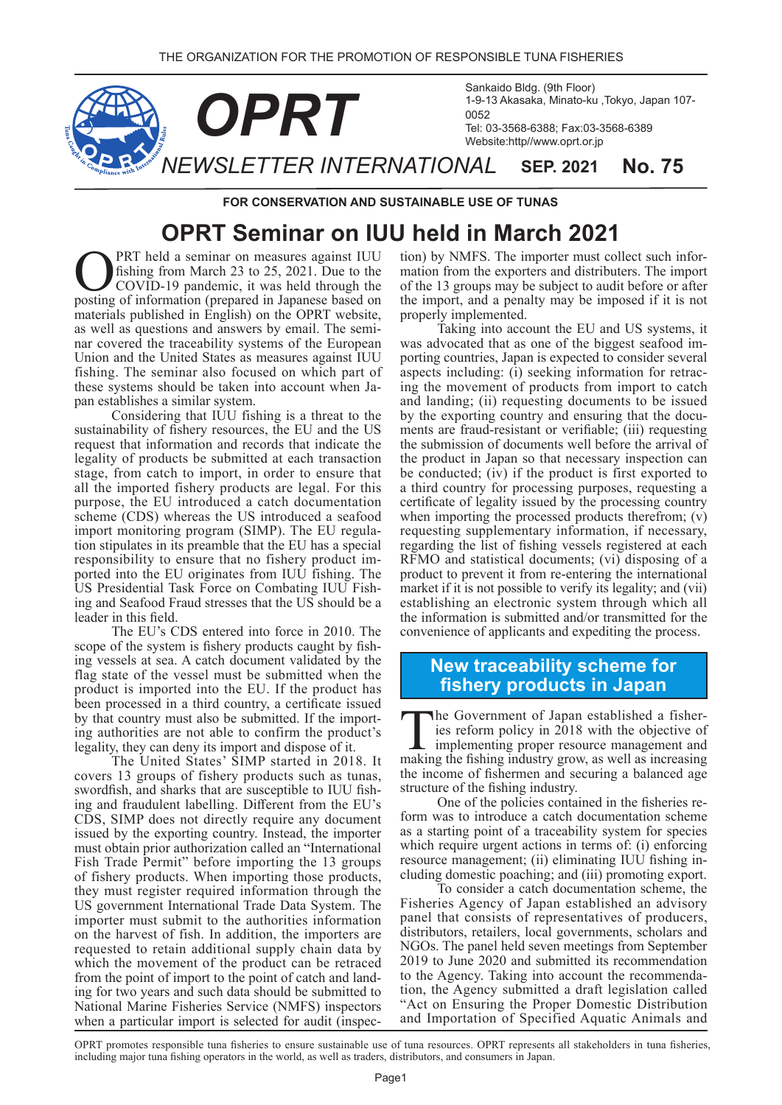

**FOR CONSERVATION AND SUSTAINABLE USE OF TUNAS** 

## **OPRT Seminar on IUU held in March 2021**

**OPRT** held a seminar on measures against IUU<br>fishing from March 23 to 25, 2021. Due to the<br>COVID-19 pandemic, it was held through the<br>nosting of information (prepared in Japanese based on fishing from March 23 to  $25$ ,  $2021$ . Due to the COVID-19 pandemic, it was held through the posting of information (prepared in Japanese based on materials published in English) on the OPRT website, nar covered the traceability systems of the European as well as questions and answers by email. The semi-Union and the United States as measures against IUU fishing. The seminar also focused on which part of these systems should be taken into account when Ja-<br>pan establishes a similar system.

Considering that IUU fishing is a threat to the sustainability of fishery resources, the EU and the US request that information and records that indicate the legality of products be submitted at each transaction stage, from catch to import, in order to ensure that all the imported fishery products are legal. For this purpose, the EU introduced a catch documentation scheme (CDS) whereas the US introduced a seafood tion stipulates in its preamble that the EU has a special import monitoring program (SIMP). The EU regulaported into the EU originates from IUU fishing. The responsibility to ensure that no fishery product iming and Seafood Fraud stresses that the US should be a US Presidential Task Force on Combating IUU Fishleader in this field.

The EU's CDS entered into force in 2010. The scope of the system is fishery products caught by fishing vessels at sea. A catch document validated by the flag state of the vessel must be submitted when the product is imported into the EU. If the product has been processed in a third country, a certificate issued by that country must also be submitted. If the importing authorities are not able to confirm the product's legality, they can deny its import and dispose of it.

The United States' SIMP started in 2018. It covers 13 groups of fishery products such as tunas, swordfish, and sharks that are susceptible to IUU fishing and fraudulent labelling. Different from the EU's CDS, SIMP does not directly require any document issued by the exporting country. Instead, the importer must obtain prior authorization called an "International Fish Trade Permit" before importing the 13 groups of fishery products. When importing those products, they must register required information through the US government International Trade Data System. The importer must submit to the authorities information on the harvest of fish. In addition, the importers are requested to retain additional supply chain data by which the movement of the product can be retraced from the point of import to the point of catch and land-<br>ing for two years and such data should be submitted to National Marine Fisheries Service (NMFS) inspectors when a particular import is selected for audit (inspecmation from the exporters and distributers. The import tion) by NMFS. The importer must collect such inforof the 13 groups may be subject to audit before or after the import, and a penalty may be imposed if it is not properly implemented.

Taking into account the EU and US systems, it porting countries, Japan is expected to consider several was advocated that as one of the biggest seafood iming the movement of products from import to catch aspects including: (i) seeking information for retracand landing; (ii) requesting documents to be issued ments are fraud-resistant or verifiable; (iii) requesting by the exporting country and ensuring that the docuthe submission of documents well before the arrival of the product in Japan so that necessary inspection can be conducted;  $(i\bar{v})$  if the product is first exported to a third country for processing purposes, requesting a certificate of legality issued by the processing country when importing the processed products therefrom;  $(v)$ requesting supplementary information, if necessary, regarding the list of fishing vessels registered at each  $RFMO$  and statistical documents; (vi) disposing of a product to prevent it from re-entering the international market if it is not possible to verify its legality; and (vii) establishing an electronic system through which all the information is submitted and/or transmitted for the convenience of applicants and expediting the process.

## **New traceability scheme for fishery products in Japan**

ies reform policy in  $2018$  with the objective of The Government of Japan established a fisherimplementing proper resource management and making the fishing industry grow, as well as increasing the income of fishermen and securing a balanced age structure of the fishing industry.

form was to introduce a catch documentation scheme One of the policies contained in the fisheries reas a starting point of a traceability system for species which require urgent actions in terms of:  $(i)$  enforcing resource management; (ii) eliminating IUU fishing in-<br>cluding domestic poaching; and (iii) promoting export.

To consider a catch documentation scheme, the Fisheries Agency of Japan established an advisory panel that consists of representatives of producers, distributors, retailers, local governments, scholars and NGOs. The panel held seven meetings from September 2019 to June 2020 and submitted its recommendation tion, the Agency submitted a draft legislation called to the Agency. Taking into account the recommenda-"Act on Ensuring the Proper Domestic Distribution and Importation of Specified Aquatic Animals and

OPRT promotes responsible tuna fisheries to ensure sustainable use of tuna resources. OPRT represents all stakeholders in tuna fisheries, including major tuna fishing operators in the world, as well as traders, distributors, and consumers in Japan.